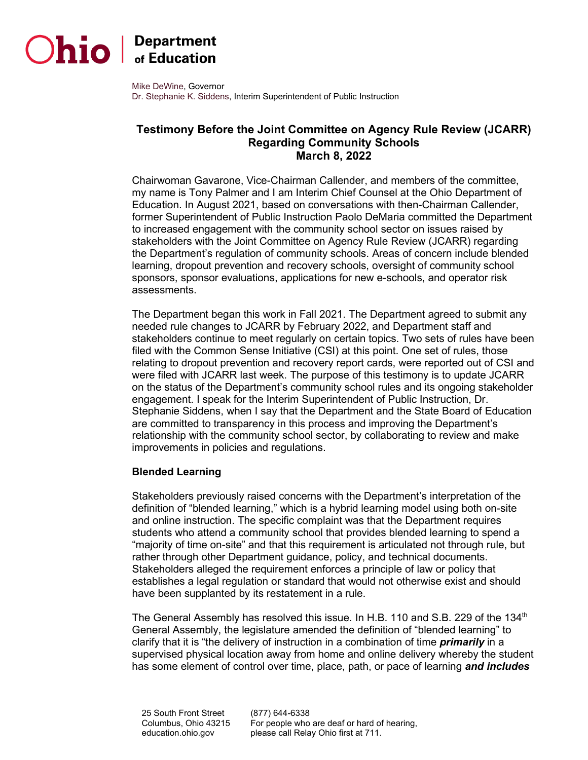

# $D$ hio  $\int_{\text{of Education}}^{\text{Department}}$

Mike DeWine, Governor Dr. Stephanie K. Siddens, Interim Superintendent of Public Instruction

# **Testimony Before the Joint Committee on Agency Rule Review (JCARR) Regarding Community Schools March 8, 2022**

Chairwoman Gavarone, Vice-Chairman Callender, and members of the committee, my name is Tony Palmer and I am Interim Chief Counsel at the Ohio Department of Education. In August 2021, based on conversations with then-Chairman Callender, former Superintendent of Public Instruction Paolo DeMaria committed the Department to increased engagement with the community school sector on issues raised by stakeholders with the Joint Committee on Agency Rule Review (JCARR) regarding the Department's regulation of community schools. Areas of concern include blended learning, dropout prevention and recovery schools, oversight of community school sponsors, sponsor evaluations, applications for new e-schools, and operator risk assessments.

The Department began this work in Fall 2021. The Department agreed to submit any needed rule changes to JCARR by February 2022, and Department staff and stakeholders continue to meet regularly on certain topics. Two sets of rules have been filed with the Common Sense Initiative (CSI) at this point. One set of rules, those relating to dropout prevention and recovery report cards, were reported out of CSI and were filed with JCARR last week. The purpose of this testimony is to update JCARR on the status of the Department's community school rules and its ongoing stakeholder engagement. I speak for the Interim Superintendent of Public Instruction, Dr. Stephanie Siddens, when I say that the Department and the State Board of Education are committed to transparency in this process and improving the Department's relationship with the community school sector, by collaborating to review and make improvements in policies and regulations.

#### **Blended Learning**

Stakeholders previously raised concerns with the Department's interpretation of the definition of "blended learning," which is a hybrid learning model using both on-site and online instruction. The specific complaint was that the Department requires students who attend a community school that provides blended learning to spend a "majority of time on-site" and that this requirement is articulated not through rule, but rather through other Department guidance, policy, and technical documents. Stakeholders alleged the requirement enforces a principle of law or policy that establishes a legal regulation or standard that would not otherwise exist and should have been supplanted by its restatement in a rule.

The General Assembly has resolved this issue. In H.B. 110 and S.B. 229 of the 134<sup>th</sup> General Assembly, the legislature amended the definition of "blended learning" to clarify that it is "the delivery of instruction in a combination of time *primarily* in a supervised physical location away from home and online delivery whereby the student has some element of control over time, place, path, or pace of learning *and includes* 

(877) 644-6338 For people who are deaf or hard of hearing, please call Relay Ohio first at 711.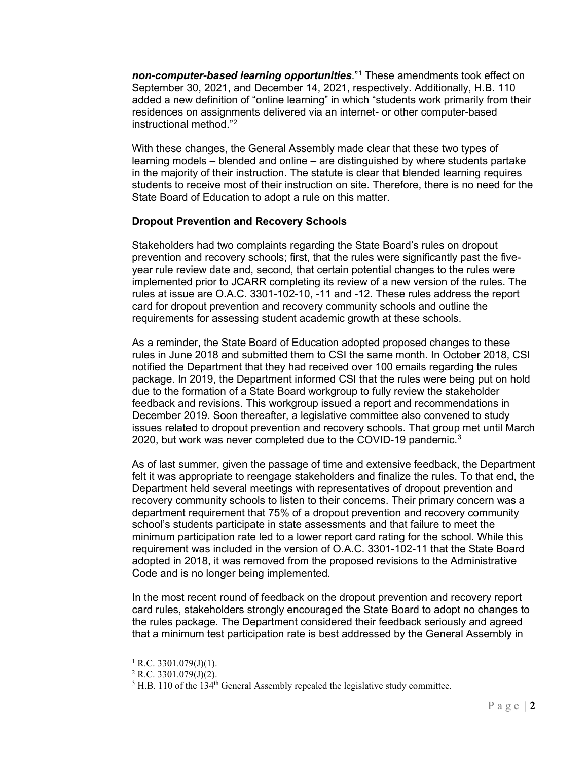*non-computer-based learning opportunities*."[1](#page-1-0) These amendments took effect on September 30, 2021, and December 14, 2021, respectively. Additionally, H.B. 110 added a new definition of "online learning" in which "students work primarily from their residences on assignments delivered via an internet- or other computer-based instructional method."[2](#page-1-1)

With these changes, the General Assembly made clear that these two types of learning models – blended and online – are distinguished by where students partake in the majority of their instruction. The statute is clear that blended learning requires students to receive most of their instruction on site. Therefore, there is no need for the State Board of Education to adopt a rule on this matter.

#### **Dropout Prevention and Recovery Schools**

Stakeholders had two complaints regarding the State Board's rules on dropout prevention and recovery schools; first, that the rules were significantly past the fiveyear rule review date and, second, that certain potential changes to the rules were implemented prior to JCARR completing its review of a new version of the rules. The rules at issue are O.A.C. 3301-102-10, -11 and -12. These rules address the report card for dropout prevention and recovery community schools and outline the requirements for assessing student academic growth at these schools.

As a reminder, the State Board of Education adopted proposed changes to these rules in June 2018 and submitted them to CSI the same month. In October 2018, CSI notified the Department that they had received over 100 emails regarding the rules package. In 2019, the Department informed CSI that the rules were being put on hold due to the formation of a State Board workgroup to fully review the stakeholder feedback and revisions. This workgroup issued a report and recommendations in December 2019. Soon thereafter, a legislative committee also convened to study issues related to dropout prevention and recovery schools. That group met until March 2020, but work was never completed due to the COVID-19 pandemic.[3](#page-1-2)

As of last summer, given the passage of time and extensive feedback, the Department felt it was appropriate to reengage stakeholders and finalize the rules. To that end, the Department held several meetings with representatives of dropout prevention and recovery community schools to listen to their concerns. Their primary concern was a department requirement that 75% of a dropout prevention and recovery community school's students participate in state assessments and that failure to meet the minimum participation rate led to a lower report card rating for the school. While this requirement was included in the version of O.A.C. 3301-102-11 that the State Board adopted in 2018, it was removed from the proposed revisions to the Administrative Code and is no longer being implemented.

In the most recent round of feedback on the dropout prevention and recovery report card rules, stakeholders strongly encouraged the State Board to adopt no changes to the rules package. The Department considered their feedback seriously and agreed that a minimum test participation rate is best addressed by the General Assembly in

 $1$  R.C. 3301.079(J)(1).

<span id="page-1-2"></span><span id="page-1-1"></span><span id="page-1-0"></span> $2$  R.C. 3301.079(J)(2).

 $3$  H.B. 110 of the  $134<sup>th</sup>$  General Assembly repealed the legislative study committee.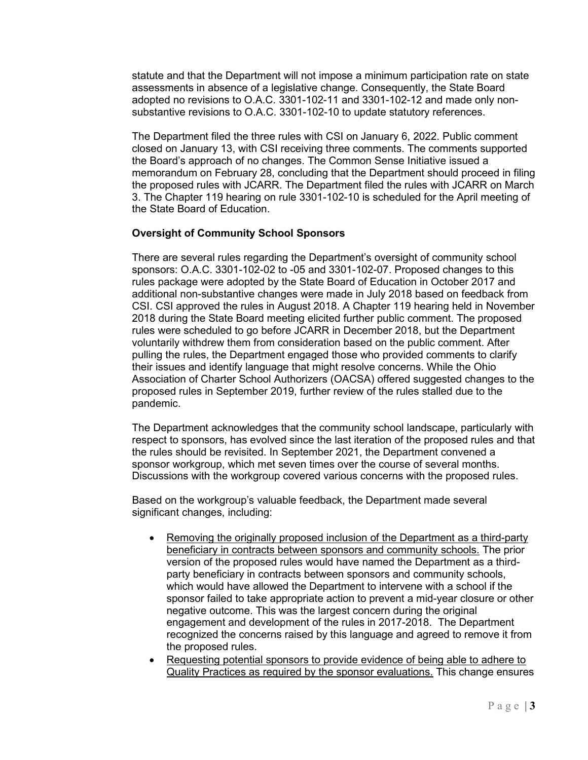statute and that the Department will not impose a minimum participation rate on state assessments in absence of a legislative change. Consequently, the State Board adopted no revisions to O.A.C. 3301-102-11 and 3301-102-12 and made only nonsubstantive revisions to O.A.C. 3301-102-10 to update statutory references.

The Department filed the three rules with CSI on January 6, 2022. Public comment closed on January 13, with CSI receiving three comments. The comments supported the Board's approach of no changes. The Common Sense Initiative issued a memorandum on February 28, concluding that the Department should proceed in filing the proposed rules with JCARR. The Department filed the rules with JCARR on March 3. The Chapter 119 hearing on rule 3301-102-10 is scheduled for the April meeting of the State Board of Education.

#### **Oversight of Community School Sponsors**

There are several rules regarding the Department's oversight of community school sponsors: O.A.C. 3301-102-02 to -05 and 3301-102-07. Proposed changes to this rules package were adopted by the State Board of Education in October 2017 and additional non-substantive changes were made in July 2018 based on feedback from CSI. CSI approved the rules in August 2018. A Chapter 119 hearing held in November 2018 during the State Board meeting elicited further public comment. The proposed rules were scheduled to go before JCARR in December 2018, but the Department voluntarily withdrew them from consideration based on the public comment. After pulling the rules, the Department engaged those who provided comments to clarify their issues and identify language that might resolve concerns. While the Ohio Association of Charter School Authorizers (OACSA) offered suggested changes to the proposed rules in September 2019, further review of the rules stalled due to the pandemic.

The Department acknowledges that the community school landscape, particularly with respect to sponsors, has evolved since the last iteration of the proposed rules and that the rules should be revisited. In September 2021, the Department convened a sponsor workgroup, which met seven times over the course of several months. Discussions with the workgroup covered various concerns with the proposed rules.

Based on the workgroup's valuable feedback, the Department made several significant changes, including:

- Removing the originally proposed inclusion of the Department as a third-party beneficiary in contracts between sponsors and community schools. The prior version of the proposed rules would have named the Department as a thirdparty beneficiary in contracts between sponsors and community schools, which would have allowed the Department to intervene with a school if the sponsor failed to take appropriate action to prevent a mid-year closure or other negative outcome. This was the largest concern during the original engagement and development of the rules in 2017-2018. The Department recognized the concerns raised by this language and agreed to remove it from the proposed rules.
- Requesting potential sponsors to provide evidence of being able to adhere to Quality Practices as required by the sponsor evaluations. This change ensures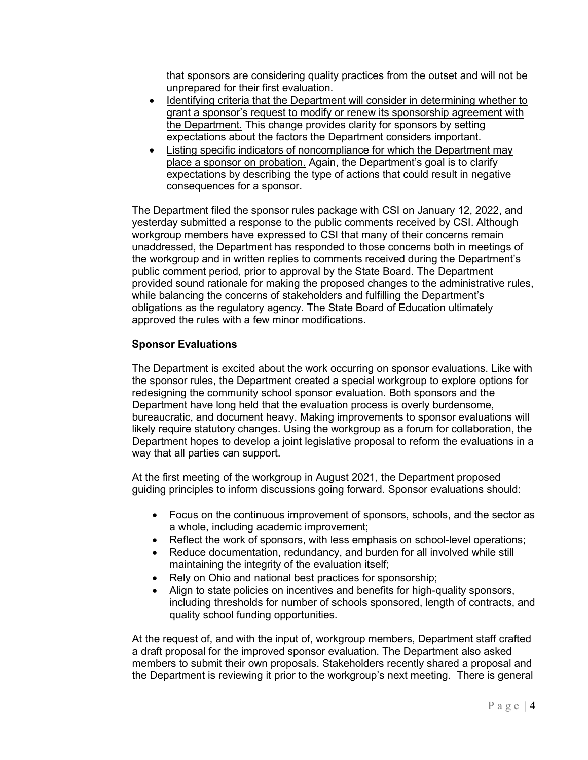that sponsors are considering quality practices from the outset and will not be unprepared for their first evaluation.

- Identifying criteria that the Department will consider in determining whether to grant a sponsor's request to modify or renew its sponsorship agreement with the Department. This change provides clarity for sponsors by setting expectations about the factors the Department considers important.
- Listing specific indicators of noncompliance for which the Department may place a sponsor on probation. Again, the Department's goal is to clarify expectations by describing the type of actions that could result in negative consequences for a sponsor.

The Department filed the sponsor rules package with CSI on January 12, 2022, and yesterday submitted a response to the public comments received by CSI. Although workgroup members have expressed to CSI that many of their concerns remain unaddressed, the Department has responded to those concerns both in meetings of the workgroup and in written replies to comments received during the Department's public comment period, prior to approval by the State Board. The Department provided sound rationale for making the proposed changes to the administrative rules, while balancing the concerns of stakeholders and fulfilling the Department's obligations as the regulatory agency. The State Board of Education ultimately approved the rules with a few minor modifications.

## **Sponsor Evaluations**

The Department is excited about the work occurring on sponsor evaluations. Like with the sponsor rules, the Department created a special workgroup to explore options for redesigning the community school sponsor evaluation. Both sponsors and the Department have long held that the evaluation process is overly burdensome, bureaucratic, and document heavy. Making improvements to sponsor evaluations will likely require statutory changes. Using the workgroup as a forum for collaboration, the Department hopes to develop a joint legislative proposal to reform the evaluations in a way that all parties can support.

At the first meeting of the workgroup in August 2021, the Department proposed guiding principles to inform discussions going forward. Sponsor evaluations should:

- Focus on the continuous improvement of sponsors, schools, and the sector as a whole, including academic improvement;
- Reflect the work of sponsors, with less emphasis on school-level operations;
- Reduce documentation, redundancy, and burden for all involved while still maintaining the integrity of the evaluation itself;
- Rely on Ohio and national best practices for sponsorship;
- Align to state policies on incentives and benefits for high-quality sponsors, including thresholds for number of schools sponsored, length of contracts, and quality school funding opportunities.

At the request of, and with the input of, workgroup members, Department staff crafted a draft proposal for the improved sponsor evaluation. The Department also asked members to submit their own proposals. Stakeholders recently shared a proposal and the Department is reviewing it prior to the workgroup's next meeting. There is general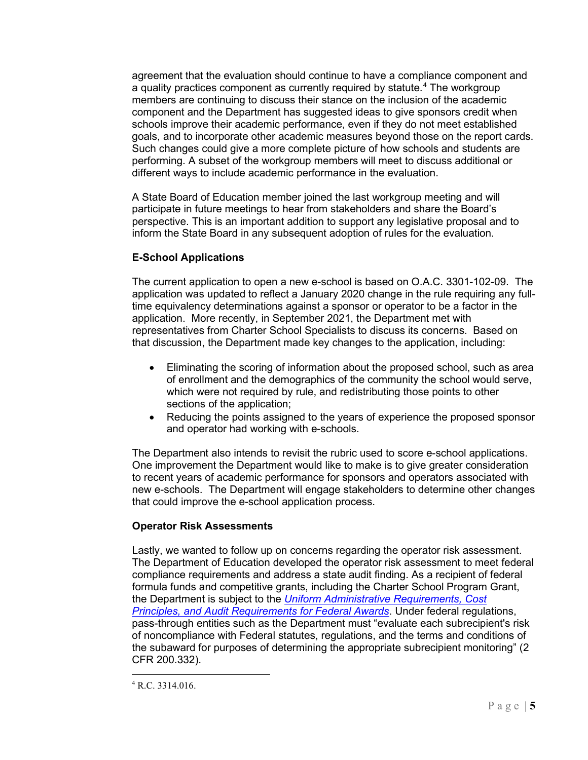agreement that the evaluation should continue to have a compliance component and a quality practices component as currently required by statute. [4](#page-4-0) The workgroup members are continuing to discuss their stance on the inclusion of the academic component and the Department has suggested ideas to give sponsors credit when schools improve their academic performance, even if they do not meet established goals, and to incorporate other academic measures beyond those on the report cards. Such changes could give a more complete picture of how schools and students are performing. A subset of the workgroup members will meet to discuss additional or different ways to include academic performance in the evaluation.

A State Board of Education member joined the last workgroup meeting and will participate in future meetings to hear from stakeholders and share the Board's perspective. This is an important addition to support any legislative proposal and to inform the State Board in any subsequent adoption of rules for the evaluation.

# **E-School Applications**

The current application to open a new e-school is based on O.A.C. 3301-102-09. The application was updated to reflect a January 2020 change in the rule requiring any fulltime equivalency determinations against a sponsor or operator to be a factor in the application. More recently, in September 2021, the Department met with representatives from Charter School Specialists to discuss its concerns. Based on that discussion, the Department made key changes to the application, including:

- Eliminating the scoring of information about the proposed school, such as area of enrollment and the demographics of the community the school would serve, which were not required by rule, and redistributing those points to other sections of the application;
- Reducing the points assigned to the years of experience the proposed sponsor and operator had working with e-schools.

The Department also intends to revisit the rubric used to score e-school applications. One improvement the Department would like to make is to give greater consideration to recent years of academic performance for sponsors and operators associated with new e-schools. The Department will engage stakeholders to determine other changes that could improve the e-school application process.

## **Operator Risk Assessments**

Lastly, we wanted to follow up on concerns regarding the operator risk assessment. The Department of Education developed the operator risk assessment to meet federal compliance requirements and address a state audit finding. As a recipient of federal formula funds and competitive grants, including the Charter School Program Grant, the Department is subject to the *[Uniform Administrative Requirements, Cost](https://gcc02.safelinks.protection.outlook.com/?url=https%3A%2F%2Fwww.ecfr.gov%2Fcurrent%2Ftitle-2%2Fsubtitle-A%2Fchapter-II%2Fpart-200%3Ftoc%3D1&data=04%7C01%7CJennifer.Stump%40education.ohio.gov%7C450aca4105c34384986a08d9f7d7d010%7C50f8fcc494d84f0784eb36ed57c7c8a2%7C0%7C0%7C637813328545954710%7CUnknown%7CTWFpbGZsb3d8eyJWIjoiMC4wLjAwMDAiLCJQIjoiV2luMzIiLCJBTiI6Ik1haWwiLCJXVCI6Mn0%3D%7C3000&sdata=zprBT4j8Iw8qyOp3tO2wDfgrMfujk1ETs%2FKhS%2BoHk9g%3D&reserved=0)  [Principles, and Audit Requirements for Federal Awards](https://gcc02.safelinks.protection.outlook.com/?url=https%3A%2F%2Fwww.ecfr.gov%2Fcurrent%2Ftitle-2%2Fsubtitle-A%2Fchapter-II%2Fpart-200%3Ftoc%3D1&data=04%7C01%7CJennifer.Stump%40education.ohio.gov%7C450aca4105c34384986a08d9f7d7d010%7C50f8fcc494d84f0784eb36ed57c7c8a2%7C0%7C0%7C637813328545954710%7CUnknown%7CTWFpbGZsb3d8eyJWIjoiMC4wLjAwMDAiLCJQIjoiV2luMzIiLCJBTiI6Ik1haWwiLCJXVCI6Mn0%3D%7C3000&sdata=zprBT4j8Iw8qyOp3tO2wDfgrMfujk1ETs%2FKhS%2BoHk9g%3D&reserved=0)*. Under federal regulations, pass-through entities such as the Department must "evaluate each subrecipient's risk of noncompliance with Federal statutes, regulations, and the terms and conditions of the subaward for purposes of determining the appropriate subrecipient monitoring" (2 CFR 200.332).

<span id="page-4-0"></span><sup>4</sup> R.C. 3314.016.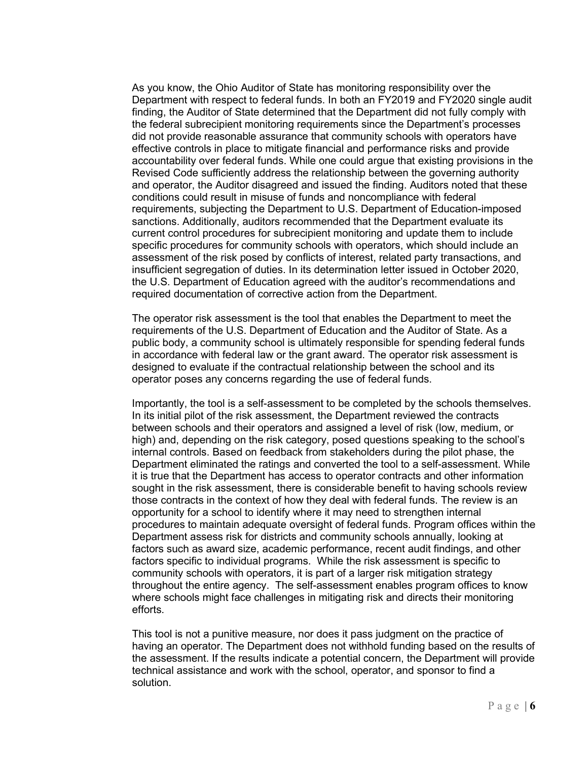As you know, the Ohio Auditor of State has monitoring responsibility over the Department with respect to federal funds. In both an FY2019 and FY2020 single audit finding, the Auditor of State determined that the Department did not fully comply with the federal subrecipient monitoring requirements since the Department's processes did not provide reasonable assurance that community schools with operators have effective controls in place to mitigate financial and performance risks and provide accountability over federal funds. While one could argue that existing provisions in the Revised Code sufficiently address the relationship between the governing authority and operator, the Auditor disagreed and issued the finding. Auditors noted that these conditions could result in misuse of funds and noncompliance with federal requirements, subjecting the Department to U.S. Department of Education-imposed sanctions. Additionally, auditors recommended that the Department evaluate its current control procedures for subrecipient monitoring and update them to include specific procedures for community schools with operators, which should include an assessment of the risk posed by conflicts of interest, related party transactions, and insufficient segregation of duties. In its determination letter issued in October 2020, the U.S. Department of Education agreed with the auditor's recommendations and required documentation of corrective action from the Department.

The operator risk assessment is the tool that enables the Department to meet the requirements of the U.S. Department of Education and the Auditor of State. As a public body, a community school is ultimately responsible for spending federal funds in accordance with federal law or the grant award. The operator risk assessment is designed to evaluate if the contractual relationship between the school and its operator poses any concerns regarding the use of federal funds.

Importantly, the tool is a self-assessment to be completed by the schools themselves. In its initial pilot of the risk assessment, the Department reviewed the contracts between schools and their operators and assigned a level of risk (low, medium, or high) and, depending on the risk category, posed questions speaking to the school's internal controls. Based on feedback from stakeholders during the pilot phase, the Department eliminated the ratings and converted the tool to a self-assessment. While it is true that the Department has access to operator contracts and other information sought in the risk assessment, there is considerable benefit to having schools review those contracts in the context of how they deal with federal funds. The review is an opportunity for a school to identify where it may need to strengthen internal procedures to maintain adequate oversight of federal funds. Program offices within the Department assess risk for districts and community schools annually, looking at factors such as award size, academic performance, recent audit findings, and other factors specific to individual programs. While the risk assessment is specific to community schools with operators, it is part of a larger risk mitigation strategy throughout the entire agency. The self-assessment enables program offices to know where schools might face challenges in mitigating risk and directs their monitoring efforts.

This tool is not a punitive measure, nor does it pass judgment on the practice of having an operator. The Department does not withhold funding based on the results of the assessment. If the results indicate a potential concern, the Department will provide technical assistance and work with the school, operator, and sponsor to find a solution.